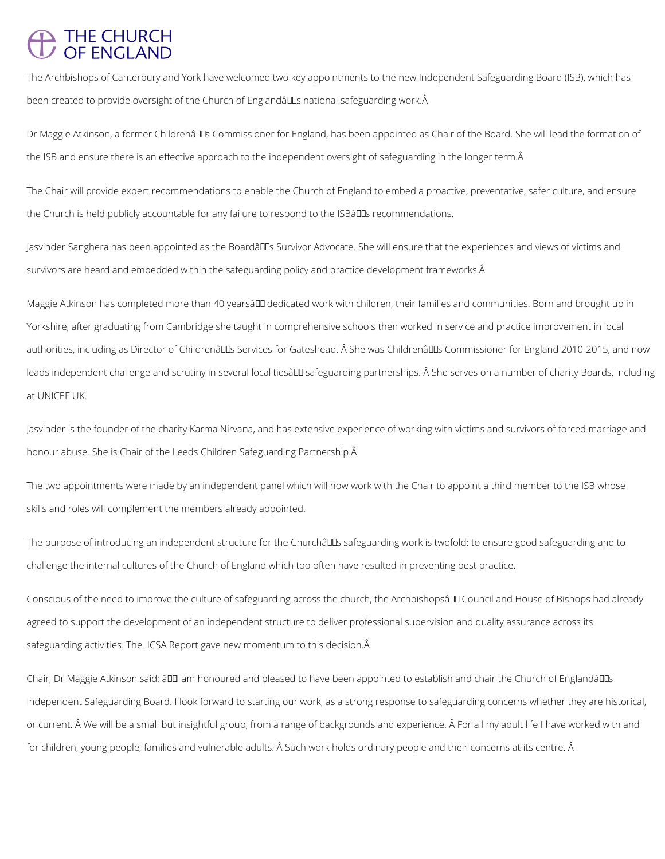## THE CHURCH<br>OF ENGLAND

The Archbishops of Canterbury and York have welcomed two key appointments to the new Independent Safeguarding Board (ISB), which has been created to provide oversight of the Church of Englandâl DIs national safeguarding work. Â

Dr Maggie Atkinson, a former Childrenâllas Commissioner for England, has been appointed as Chair of the Board. She will lead the formation of the ISB and ensure there is an effective approach to the independent oversight of safeguarding in the longer term.

The Chair will provide expert recommendations to enable the Church of England to embed a proactive, preventative, safer culture, and ensure the Church is held publicly accountable for any failure to respond to the ISBâlls recommendations.

Jasvinder Sanghera has been appointed as the Boardâll Ds Survivor Advocate. She will ensure that the experiences and views of victims and survivors are heard and embedded within the safeguarding policy and practice development frameworks. A

Maggie Atkinson has completed more than 40 yearsâlD dedicated work with children, their families and communities. Born and brought up in Yorkshire, after graduating from Cambridge she taught in comprehensive schools then worked in service and practice improvement in local authorities, including as Director of Childrenâlles Services for Gateshead. Â She was Childrenâlles Commissioner for England 2010-2015, and now leads independent challenge and scrutiny in several localitiesâ LD safeguarding partnerships. Â She serves on a number of charity Boards, including at UNICEF UK.

The purpose of introducing an independent structure for the Churchâlls safeguarding work is twofold: to ensure good safeguarding and to challenge the internal cultures of the Church of England which too often have resulted in preventing best practice.

Conscious of the need to improve the culture of safeguarding across the church, the Archbishopsâ DD Council and House of Bishops had already agreed to support the development of an independent structure to deliver professional supervision and quality assurance across its

Chair, Dr Maggie Atkinson said: â00 am honoured and pleased to have been appointed to establish and chair the Church of Englandâ00s

Jasvinder is the founder of the charity Karma Nirvana, and has extensive experience of working with victims and survivors of forced marriage and honour abuse. She is Chair of the Leeds Children Safeguarding Partnership.

The two appointments were made by an independent panel which will now work with the Chair to appoint a third member to the ISB whose skills and roles will complement the members already appointed.

Independent Safeguarding Board. I look forward to starting our work, as a strong response to safeguarding concerns whether they are historical,

or current. Â We will be a small but insightful group, from a range of backgrounds and experience. Â For all my adult life I have worked with and

for children, young people, families and vulnerable adults. Â Such work holds ordinary people and their concerns at its centre. Â